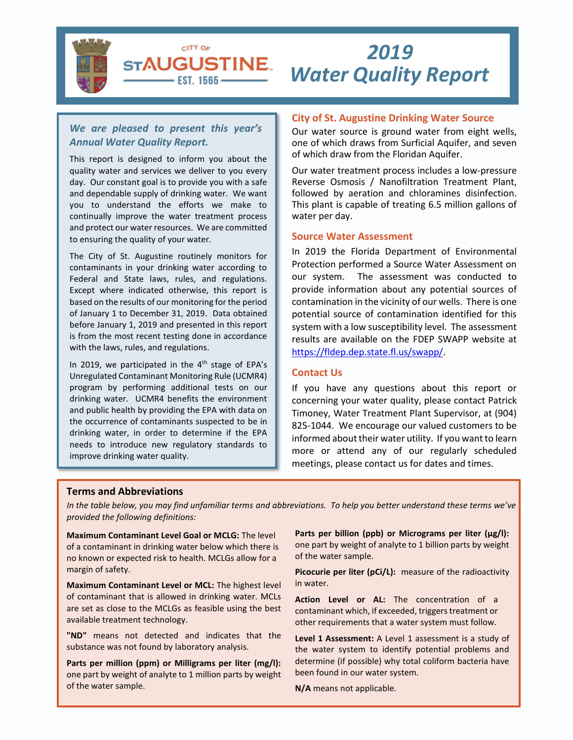

# *Water Quality Report 2019*

## *We are pleased to present this year's Annual Water Quality Report.*

CITY OF **STAUGUSTINE** – EST. 1565 –

This report is designed to inform you about the quality water and services we deliver to you every day. Our constant goal is to provide you with a safe and dependable supply of drinking water. We want you to understand the efforts we make to continually improve the water treatment process and protect our water resources. We are committed to ensuring the quality of your water.

The City of St. Augustine routinely monitors for contaminants in your drinking water according to Federal and State laws, rules, and regulations. Except where indicated otherwise, this report is based on the results of our monitoring for the period of January 1 to December 31, 2019. Data obtained before January 1, 2019 and presented in this report is from the most recent testing done in accordance with the laws, rules, and regulations.

In 2019, we participated in the  $4<sup>th</sup>$  stage of EPA's Unregulated Contaminant Monitoring Rule (UCMR4) program by performing additional tests on our drinking water. UCMR4 benefits the environment and public health by providing the EPA with data on the occurrence of contaminants suspected to be in drinking water, in order to determine if the EPA needs to introduce new regulatory standards to improve drinking water quality.

## **City of St. Augustine Drinking Water Source**

Our water source is ground water from eight wells, one of which draws from Surficial Aquifer, and seven of which draw from the Floridan Aquifer.

Our water treatment process includes a low-pressure Reverse Osmosis / Nanofiltration Treatment Plant, followed by aeration and chloramines disinfection. This plant is capable of treating 6.5 million gallons of water per day.

#### **Source Water Assessment**

In 2019 the Florida Department of Environmental Protection performed a Source Water Assessment on our system. The assessment was conducted to provide information about any potential sources of contamination in the vicinity of our wells. There is one potential source of contamination identified for this system with a low susceptibility level. The assessment results are available on the FDEP SWAPP website at [https://fldep.dep.state.fl.us/swapp/.](https://fldep.dep.state.fl.us/swapp/)

#### **Contact Us**

If you have any questions about this report or concerning your water quality, please contact Patrick Timoney, Water Treatment Plant Supervisor, at (904) 825-1044. We encourage our valued customers to be informed about their water utility. If you want to learn more or attend any of our regularly scheduled meetings, please contact us for dates and times.

#### **Terms and Abbreviations**

*In the table below, you may find unfamiliar terms and abbreviations. To help you better understand these terms we've provided the following definitions:*

**Maximum Contaminant Level Goal or MCLG:** The level of a contaminant in drinking water below which there is no known or expected risk to health. MCLGs allow for a margin of safety.

**Maximum Contaminant Level or MCL:** The highest level of contaminant that is allowed in drinking water. MCLs are set as close to the MCLGs as feasible using the best available treatment technology.

**"ND"** means not detected and indicates that the substance was not found by laboratory analysis.

**Parts per million (ppm) or Milligrams per liter (mg/l):** one part by weight of analyte to 1 million parts by weight of the water sample.

Parts per billion (ppb) or Micrograms per liter (µg/l): one part by weight of analyte to 1 billion parts by weight of the water sample.

**Picocurie per liter (pCi/L):** measure of the radioactivity in water.

**Action Level or AL:** The concentration of a contaminant which, if exceeded, triggers treatment or other requirements that a water system must follow.

**Level 1 Assessment:** A Level 1 assessment is a study of the water system to identify potential problems and determine (if possible) why total coliform bacteria have been found in our water system.

**N/A** means not applicable.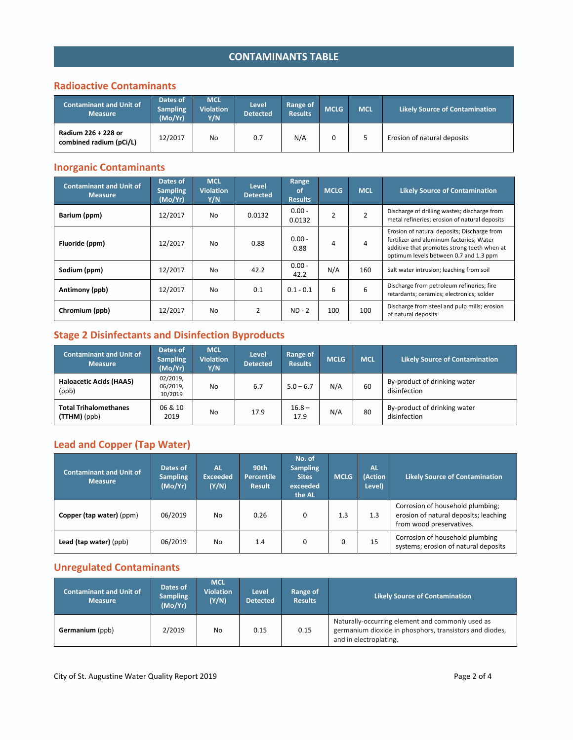## **CONTAMINANTS TABLE**

## **Radioactive Contaminants**

| <b>Contaminant and Unit of</b><br><b>Measure</b> | Dates of<br><b>Sampling</b><br>(Mo/Yr) | <b>MCL</b><br><b>Violation</b><br>Y/N | /Level.<br><b>Detected</b> | Range of<br><b>Results</b> | <b>MCLG</b> | <b>IMCL</b> | <b>Likely Source of Contamination</b> |
|--------------------------------------------------|----------------------------------------|---------------------------------------|----------------------------|----------------------------|-------------|-------------|---------------------------------------|
| Radium 226 + 228 or<br>combined radium (pCi/L)   | 12/2017                                | No                                    | 0.7                        | N/A                        |             |             | Erosion of natural deposits           |

## **Inorganic Contaminants**

| <b>Contaminant and Unit of</b><br><b>Measure</b> | Dates of<br><b>Sampling</b><br>(Mo/Yr) | <b>MCL</b><br><b>Violation</b><br>Y/N | Level<br><b>Detected</b> | Range<br>of<br><b>Results</b> | <b>MCLG</b>    | <b>MCL</b>     | <b>Likely Source of Contamination</b>                                                                                                                                            |
|--------------------------------------------------|----------------------------------------|---------------------------------------|--------------------------|-------------------------------|----------------|----------------|----------------------------------------------------------------------------------------------------------------------------------------------------------------------------------|
| Barium (ppm)                                     | 12/2017                                | No.                                   | 0.0132                   | $0.00 -$<br>0.0132            | $\overline{2}$ | $\overline{2}$ | Discharge of drilling wastes; discharge from<br>metal refineries; erosion of natural deposits                                                                                    |
| Fluoride (ppm)                                   | 12/2017                                | No.                                   | 0.88                     | $0.00 -$<br>0.88              | 4              | 4              | Erosion of natural deposits; Discharge from<br>fertilizer and aluminum factories; Water<br>additive that promotes strong teeth when at<br>optimum levels between 0.7 and 1.3 ppm |
| Sodium (ppm)                                     | 12/2017                                | No.                                   | 42.2                     | $0.00 -$<br>42.2              | N/A            | 160            | Salt water intrusion; leaching from soil                                                                                                                                         |
| Antimony (ppb)                                   | 12/2017                                | No.                                   | 0.1                      | $0.1 - 0.1$                   | 6              | 6              | Discharge from petroleum refineries; fire<br>retardants; ceramics; electronics; solder                                                                                           |
| Chromium (ppb)                                   | 12/2017                                | No.                                   | $\overline{2}$           | $ND - 2$                      | 100            | 100            | Discharge from steel and pulp mills; erosion<br>of natural deposits                                                                                                              |

## **Stage 2 Disinfectants and Disinfection Byproducts**

| <b>Contaminant and Unit of</b><br><b>Measure</b> | Dates of<br><b>Sampling</b><br>(Mo/Yr) | <b>MCL</b><br><b>Violation</b><br>Y/N | Level<br><b>Detected</b> | Range of<br><b>Results</b> | <b>MCLG</b> | <b>MCL</b> | <b>Likely Source of Contamination</b>        |
|--------------------------------------------------|----------------------------------------|---------------------------------------|--------------------------|----------------------------|-------------|------------|----------------------------------------------|
| Haloacetic Acids (HAA5)<br>(ppb)                 | 02/2019,<br>06/2019,<br>10/2019        | No                                    | 6.7                      | $5.0 - 6.7$                | N/A         | 60         | By-product of drinking water<br>disinfection |
| <b>Total Trihalomethanes</b><br>(TTHM)(ppb)      | 06 & 10<br>2019                        | <b>No</b>                             | 17.9                     | $16.8 -$<br>17.9           | N/A         | 80         | By-product of drinking water<br>disinfection |

## **Lead and Copper (Tap Water)**

| <b>Contaminant and Unit of</b><br><b>Measure</b> | Dates of<br><b>Sampling</b><br>(Mo/Yr) | AL<br><b>Exceeded</b><br>(Y/N) | 90th<br><b>Percentile</b><br><b>Result</b> | No. of<br><b>Sampling</b><br><b>Sites</b><br>exceeded<br>the AL | <b>MCLG</b> | <b>AL</b><br>(Action<br>Level) | <b>Likely Source of Contamination</b>                                                                 |
|--------------------------------------------------|----------------------------------------|--------------------------------|--------------------------------------------|-----------------------------------------------------------------|-------------|--------------------------------|-------------------------------------------------------------------------------------------------------|
| Copper (tap water) (ppm)                         | 06/2019                                | No                             | 0.26                                       | 0                                                               | 1.3         | 1.3                            | Corrosion of household plumbing;<br>erosion of natural deposits; leaching<br>from wood preservatives. |
| Lead (tap water) (ppb)                           | 06/2019                                | No                             | 1.4                                        | 0                                                               | $\Omega$    | 15                             | Corrosion of household plumbing<br>systems; erosion of natural deposits                               |

## **Unregulated Contaminants**

| <b>Contaminant and Unit of</b><br><b>Measure</b> | Dates of<br><b>Sampling</b><br>(Mo/Yr) | <b>MCL</b><br><b>Violation</b><br>(Y/N) | <b>Level</b><br><b>Detected</b> | Range of<br><b>Results</b> | <b>Likely Source of Contamination</b>                                                                                                 |
|--------------------------------------------------|----------------------------------------|-----------------------------------------|---------------------------------|----------------------------|---------------------------------------------------------------------------------------------------------------------------------------|
| Germanium (ppb)                                  | 2/2019                                 | No                                      | 0.15                            | 0.15                       | Naturally-occurring element and commonly used as<br>germanium dioxide in phosphors, transistors and diodes,<br>and in electroplating. |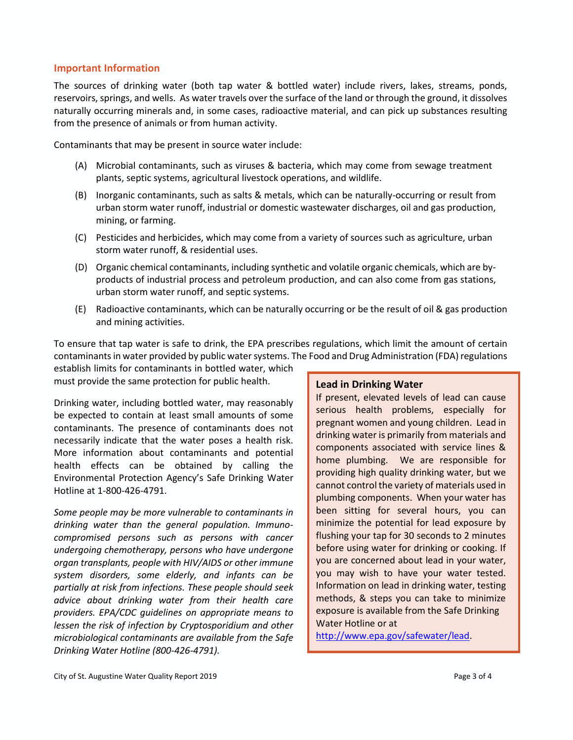#### **Important Information**

The sources of drinking water (both tap water & bottled water) include rivers, lakes, streams, ponds, reservoirs, springs, and wells. As water travels over the surface of the land or through the ground, it dissolves naturally occurring minerals and, in some cases, radioactive material, and can pick up substances resulting from the presence of animals or from human activity.

Contaminants that may be present in source water include:

- (A) Microbial contaminants, such as viruses & bacteria, which may come from sewage treatment plants, septic systems, agricultural livestock operations, and wildlife.
- (B) Inorganic contaminants, such as salts & metals, which can be naturally-occurring or result from urban storm water runoff, industrial or domestic wastewater discharges, oil and gas production, mining, or farming.
- (C) Pesticides and herbicides, which may come from a variety of sources such as agriculture, urban storm water runoff, & residential uses.
- (D) Organic chemical contaminants, including synthetic and volatile organic chemicals, which are byproducts of industrial process and petroleum production, and can also come from gas stations, urban storm water runoff, and septic systems.
- (E) Radioactive contaminants, which can be naturally occurring or be the result of oil & gas production and mining activities.

To ensure that tap water is safe to drink, the EPA prescribes regulations, which limit the amount of certain contaminants in water provided by public water systems. The Food and Drug Administration (FDA) regulations

establish limits for contaminants in bottled water, which must provide the same protection for public health.

Drinking water, including bottled water, may reasonably be expected to contain at least small amounts of some contaminants. The presence of contaminants does not necessarily indicate that the water poses a health risk. More information about contaminants and potential health effects can be obtained by calling the Environmental Protection Agency's Safe Drinking Water Hotline at 1-800-426-4791.

*Some people may be more vulnerable to contaminants in drinking water than the general population. Immunocompromised persons such as persons with cancer undergoing chemotherapy, persons who have undergone organ transplants, people with HIV/AIDS or other immune system disorders, some elderly, and infants can be partially at risk from infections. These people should seek advice about drinking water from their health care providers. EPA/CDC guidelines on appropriate means to lessen the risk of infection by Cryptosporidium and other microbiological contaminants are available from the Safe Drinking Water Hotline (800-426-4791).*

### **Lead in Drinking Water**

If present, elevated levels of lead can cause serious health problems, especially for pregnant women and young children. Lead in drinking water is primarily from materials and components associated with service lines & home plumbing. We are responsible for providing high quality drinking water, but we cannot control the variety of materials used in plumbing components. When your water has been sitting for several hours, you can minimize the potential for lead exposure by flushing your tap for 30 seconds to 2 minutes before using water for drinking or cooking. If you are concerned about lead in your water, you may wish to have your water tested. Information on lead in drinking water, testing methods, & steps you can take to minimize exposure is available from the Safe Drinking Water Hotline or at

[http://www.epa.gov/safewater/lead.](http://www.epa.gov/safewater/lead)